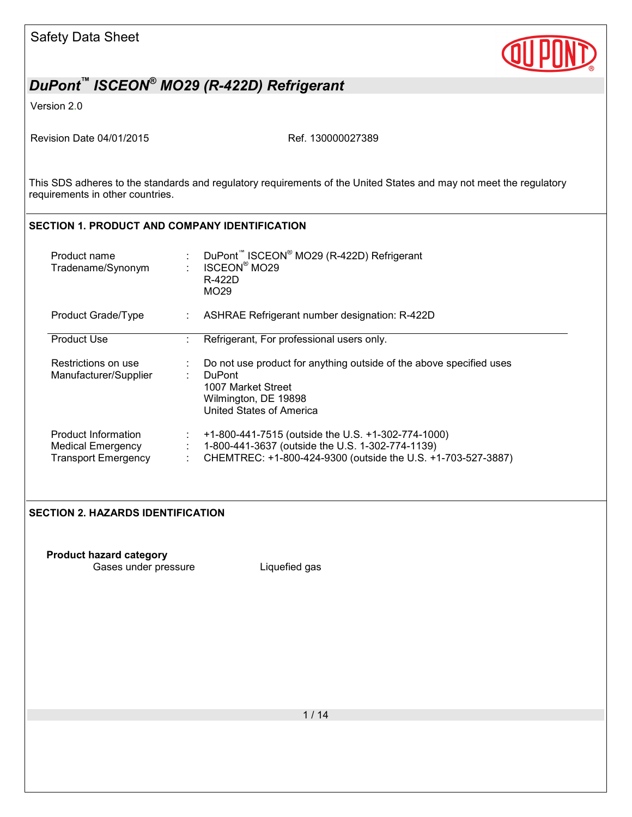

Version 2.0

Revision Date 04/01/2015 Ref. 130000027389

This SDS adheres to the standards and regulatory requirements of the United States and may not meet the regulatory requirements in other countries.

### **SECTION 1. PRODUCT AND COMPANY IDENTIFICATION**

| Product name<br>Tradename/Synonym                                             |    | DuPont <sup>™</sup> ISCEON <sup>®</sup> MO29 (R-422D) Refrigerant<br><b>ISCEON<sup>®</sup> MO29</b><br>R-422D<br>MO <sub>29</sub>                                      |
|-------------------------------------------------------------------------------|----|------------------------------------------------------------------------------------------------------------------------------------------------------------------------|
| Product Grade/Type                                                            |    | ASHRAE Refrigerant number designation: R-422D                                                                                                                          |
| <b>Product Use</b>                                                            |    | Refrigerant, For professional users only.                                                                                                                              |
| Restrictions on use<br>Manufacturer/Supplier                                  | t. | Do not use product for anything outside of the above specified uses<br><b>DuPont</b><br>1007 Market Street<br>Wilmington, DE 19898<br><b>United States of America</b>  |
| Product Information<br><b>Medical Emergency</b><br><b>Transport Emergency</b> | ÷. | +1-800-441-7515 (outside the U.S. +1-302-774-1000)<br>1-800-441-3637 (outside the U.S. 1-302-774-1139)<br>CHEMTREC: +1-800-424-9300 (outside the U.S. +1-703-527-3887) |

### **SECTION 2. HAZARDS IDENTIFICATION**

**Product hazard category** Gases under pressure **Liquefied gas**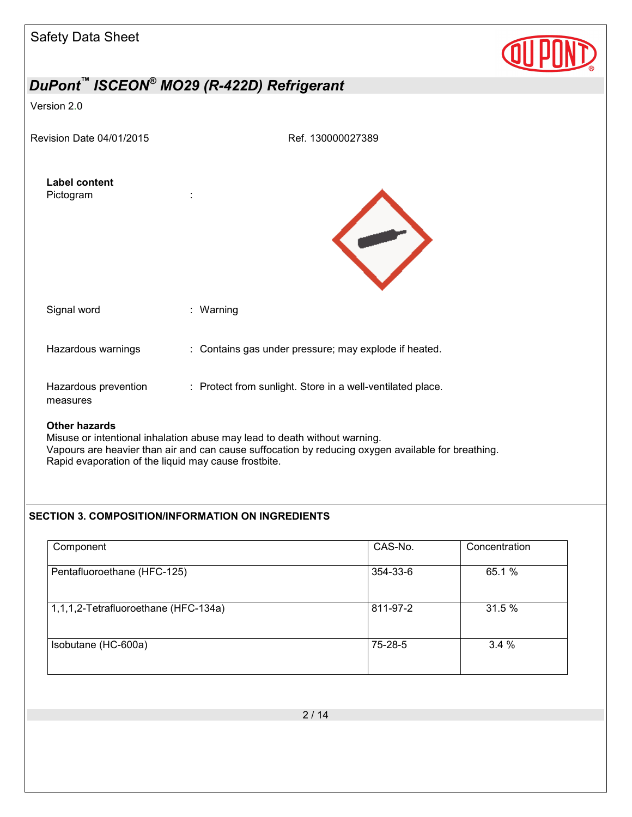| <b>Safety Data Sheet</b>                                                     |                                                                                                                                                                                 |  |
|------------------------------------------------------------------------------|---------------------------------------------------------------------------------------------------------------------------------------------------------------------------------|--|
|                                                                              | DuPont <sup>™</sup> ISCEON <sup>®</sup> MO29 (R-422D) Refrigerant                                                                                                               |  |
| Version 2.0                                                                  |                                                                                                                                                                                 |  |
| Revision Date 04/01/2015                                                     | Ref. 130000027389                                                                                                                                                               |  |
| <b>Label content</b><br>Pictogram                                            |                                                                                                                                                                                 |  |
| Signal word                                                                  | : Warning                                                                                                                                                                       |  |
| Hazardous warnings                                                           | : Contains gas under pressure; may explode if heated.                                                                                                                           |  |
| Hazardous prevention<br>measures                                             | : Protect from sunlight. Store in a well-ventilated place.                                                                                                                      |  |
| <b>Other hazards</b><br>Rapid evaporation of the liquid may cause frostbite. | Misuse or intentional inhalation abuse may lead to death without warning.<br>Vapours are heavier than air and can cause suffocation by reducing oxygen available for breathing. |  |

### **SECTION 3. COMPOSITION/INFORMATION ON INGREDIENTS**

| Component                            | CAS-No.  | Concentration |
|--------------------------------------|----------|---------------|
| Pentafluoroethane (HFC-125)          | 354-33-6 | 65.1 %        |
| 1,1,1,2-Tetrafluoroethane (HFC-134a) | 811-97-2 | 31.5 %        |
| Isobutane (HC-600a)                  | 75-28-5  | 3.4%          |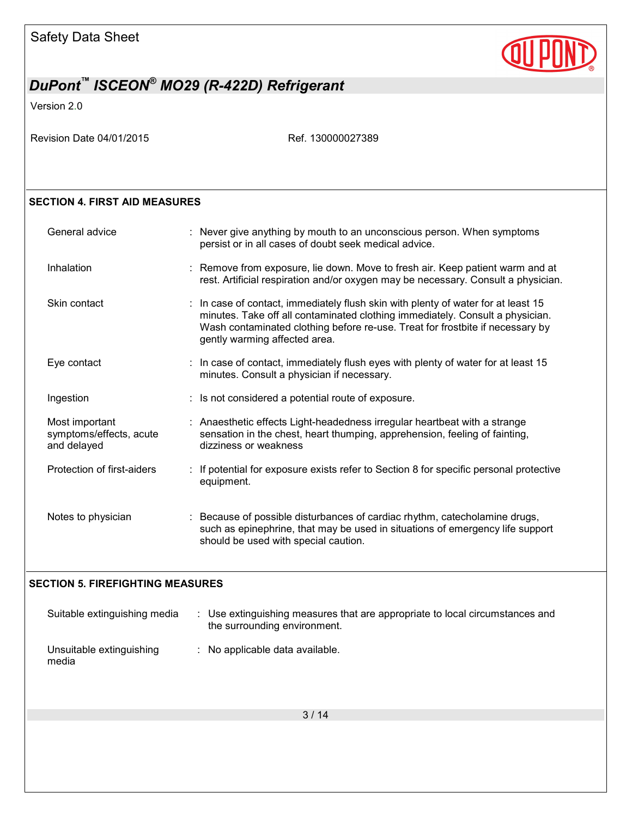

Version 2.0

Revision Date 04/01/2015 Ref. 130000027389

### **SECTION 4. FIRST AID MEASURES**

| General advice                                           | : Never give anything by mouth to an unconscious person. When symptoms<br>persist or in all cases of doubt seek medical advice.                                                                                                                                                      |
|----------------------------------------------------------|--------------------------------------------------------------------------------------------------------------------------------------------------------------------------------------------------------------------------------------------------------------------------------------|
| Inhalation                                               | : Remove from exposure, lie down. Move to fresh air. Keep patient warm and at<br>rest. Artificial respiration and/or oxygen may be necessary. Consult a physician.                                                                                                                   |
| Skin contact                                             | : In case of contact, immediately flush skin with plenty of water for at least 15<br>minutes. Take off all contaminated clothing immediately. Consult a physician.<br>Wash contaminated clothing before re-use. Treat for frostbite if necessary by<br>gently warming affected area. |
| Eye contact                                              | : In case of contact, immediately flush eyes with plenty of water for at least 15<br>minutes. Consult a physician if necessary.                                                                                                                                                      |
| Ingestion                                                | : Is not considered a potential route of exposure.                                                                                                                                                                                                                                   |
| Most important<br>symptoms/effects, acute<br>and delayed | : Anaesthetic effects Light-headedness irregular heartbeat with a strange<br>sensation in the chest, heart thumping, apprehension, feeling of fainting,<br>dizziness or weakness                                                                                                     |
| Protection of first-aiders                               | : If potential for exposure exists refer to Section 8 for specific personal protective<br>equipment.                                                                                                                                                                                 |
| Notes to physician                                       | : Because of possible disturbances of cardiac rhythm, catecholamine drugs,<br>such as epinephrine, that may be used in situations of emergency life support<br>should be used with special caution.                                                                                  |

### **SECTION 5. FIREFIGHTING MEASURES**

| Suitable extinguishing media      | Use extinguishing measures that are appropriate to local circumstances and<br>the surrounding environment. |
|-----------------------------------|------------------------------------------------------------------------------------------------------------|
| Unsuitable extinguishing<br>media | $\therefore$ No applicable data available.                                                                 |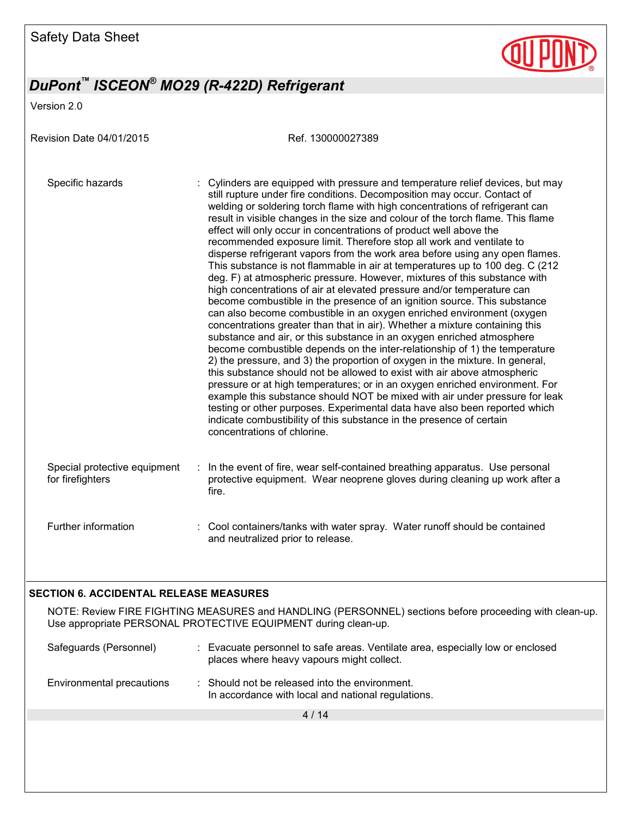

Version 2.0

| Revision Date 04/01/2015                         | Ref. 130000027389                                                                                                                                                                                                                                                                                                                                                                                                                                                                                                                                                                                                                                                                                                                                                                                                                                                                                                                                                                                                                                                                                                                                                                                                                                                                                                                                                                                                                                                                                                                                                                                                                                                                                          |
|--------------------------------------------------|------------------------------------------------------------------------------------------------------------------------------------------------------------------------------------------------------------------------------------------------------------------------------------------------------------------------------------------------------------------------------------------------------------------------------------------------------------------------------------------------------------------------------------------------------------------------------------------------------------------------------------------------------------------------------------------------------------------------------------------------------------------------------------------------------------------------------------------------------------------------------------------------------------------------------------------------------------------------------------------------------------------------------------------------------------------------------------------------------------------------------------------------------------------------------------------------------------------------------------------------------------------------------------------------------------------------------------------------------------------------------------------------------------------------------------------------------------------------------------------------------------------------------------------------------------------------------------------------------------------------------------------------------------------------------------------------------------|
| Specific hazards                                 | Cylinders are equipped with pressure and temperature relief devices, but may<br>still rupture under fire conditions. Decomposition may occur. Contact of<br>welding or soldering torch flame with high concentrations of refrigerant can<br>result in visible changes in the size and colour of the torch flame. This flame<br>effect will only occur in concentrations of product well above the<br>recommended exposure limit. Therefore stop all work and ventilate to<br>disperse refrigerant vapors from the work area before using any open flames.<br>This substance is not flammable in air at temperatures up to 100 deg. C (212<br>deg. F) at atmospheric pressure. However, mixtures of this substance with<br>high concentrations of air at elevated pressure and/or temperature can<br>become combustible in the presence of an ignition source. This substance<br>can also become combustible in an oxygen enriched environment (oxygen<br>concentrations greater than that in air). Whether a mixture containing this<br>substance and air, or this substance in an oxygen enriched atmosphere<br>become combustible depends on the inter-relationship of 1) the temperature<br>2) the pressure, and 3) the proportion of oxygen in the mixture. In general,<br>this substance should not be allowed to exist with air above atmospheric<br>pressure or at high temperatures; or in an oxygen enriched environment. For<br>example this substance should NOT be mixed with air under pressure for leak<br>testing or other purposes. Experimental data have also been reported which<br>indicate combustibility of this substance in the presence of certain<br>concentrations of chlorine. |
| Special protective equipment<br>for firefighters | In the event of fire, wear self-contained breathing apparatus. Use personal<br>protective equipment. Wear neoprene gloves during cleaning up work after a<br>fire.                                                                                                                                                                                                                                                                                                                                                                                                                                                                                                                                                                                                                                                                                                                                                                                                                                                                                                                                                                                                                                                                                                                                                                                                                                                                                                                                                                                                                                                                                                                                         |
| Further information                              | : Cool containers/tanks with water spray. Water runoff should be contained<br>and neutralized prior to release.                                                                                                                                                                                                                                                                                                                                                                                                                                                                                                                                                                                                                                                                                                                                                                                                                                                                                                                                                                                                                                                                                                                                                                                                                                                                                                                                                                                                                                                                                                                                                                                            |

### **SECTION 6. ACCIDENTAL RELEASE MEASURES**

NOTE: Review FIRE FIGHTING MEASURES and HANDLING (PERSONNEL) sections before proceeding with clean-up. Use appropriate PERSONAL PROTECTIVE EQUIPMENT during clean-up.

| Safeguards (Personnel)    | Evacuate personnel to safe areas. Ventilate area, especially low or enclosed<br>places where heavy vapours might collect. |  |
|---------------------------|---------------------------------------------------------------------------------------------------------------------------|--|
| Environmental precautions | : Should not be released into the environment.<br>In accordance with local and national regulations.                      |  |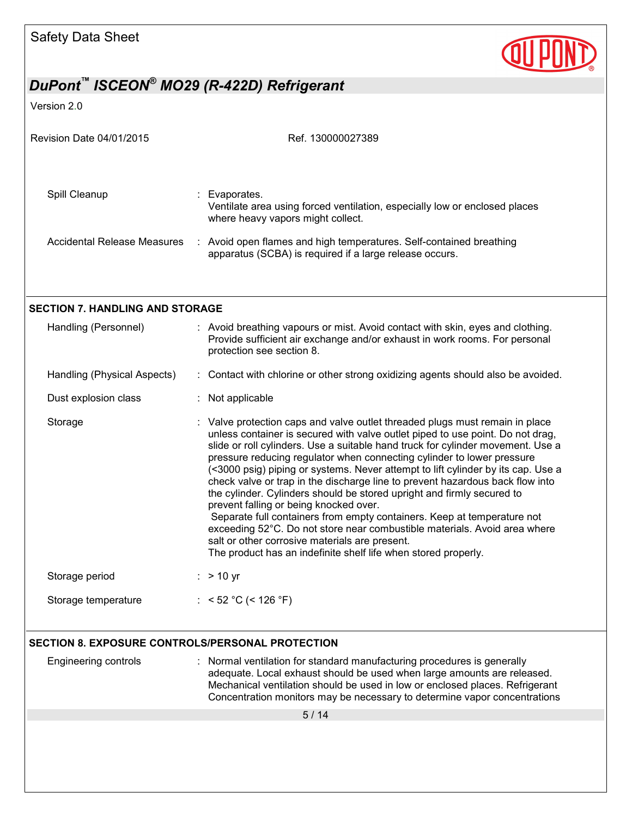

| Revision Date 04/01/2015                         | Ref. 130000027389                                                                                                                                                                                                                                                                                                                                                                                                                                                                                                                                                                                                                                                                                                                                                                                                                                                                                |
|--------------------------------------------------|--------------------------------------------------------------------------------------------------------------------------------------------------------------------------------------------------------------------------------------------------------------------------------------------------------------------------------------------------------------------------------------------------------------------------------------------------------------------------------------------------------------------------------------------------------------------------------------------------------------------------------------------------------------------------------------------------------------------------------------------------------------------------------------------------------------------------------------------------------------------------------------------------|
| Spill Cleanup                                    | : Evaporates.<br>Ventilate area using forced ventilation, especially low or enclosed places<br>where heavy vapors might collect.                                                                                                                                                                                                                                                                                                                                                                                                                                                                                                                                                                                                                                                                                                                                                                 |
| <b>Accidental Release Measures</b>               | : Avoid open flames and high temperatures. Self-contained breathing<br>apparatus (SCBA) is required if a large release occurs.                                                                                                                                                                                                                                                                                                                                                                                                                                                                                                                                                                                                                                                                                                                                                                   |
| <b>SECTION 7. HANDLING AND STORAGE</b>           |                                                                                                                                                                                                                                                                                                                                                                                                                                                                                                                                                                                                                                                                                                                                                                                                                                                                                                  |
| Handling (Personnel)                             | : Avoid breathing vapours or mist. Avoid contact with skin, eyes and clothing.<br>Provide sufficient air exchange and/or exhaust in work rooms. For personal<br>protection see section 8.                                                                                                                                                                                                                                                                                                                                                                                                                                                                                                                                                                                                                                                                                                        |
| Handling (Physical Aspects)                      | : Contact with chlorine or other strong oxidizing agents should also be avoided.                                                                                                                                                                                                                                                                                                                                                                                                                                                                                                                                                                                                                                                                                                                                                                                                                 |
| Dust explosion class                             | : Not applicable                                                                                                                                                                                                                                                                                                                                                                                                                                                                                                                                                                                                                                                                                                                                                                                                                                                                                 |
| Storage                                          | : Valve protection caps and valve outlet threaded plugs must remain in place<br>unless container is secured with valve outlet piped to use point. Do not drag,<br>slide or roll cylinders. Use a suitable hand truck for cylinder movement. Use a<br>pressure reducing regulator when connecting cylinder to lower pressure<br>(<3000 psig) piping or systems. Never attempt to lift cylinder by its cap. Use a<br>check valve or trap in the discharge line to prevent hazardous back flow into<br>the cylinder. Cylinders should be stored upright and firmly secured to<br>prevent falling or being knocked over.<br>Separate full containers from empty containers. Keep at temperature not<br>exceeding 52°C. Do not store near combustible materials. Avoid area where<br>salt or other corrosive materials are present.<br>The product has an indefinite shelf life when stored properly. |
| Storage period                                   | $:$ > 10 yr                                                                                                                                                                                                                                                                                                                                                                                                                                                                                                                                                                                                                                                                                                                                                                                                                                                                                      |
| Storage temperature                              | : $<$ 52 °C (< 126 °F)                                                                                                                                                                                                                                                                                                                                                                                                                                                                                                                                                                                                                                                                                                                                                                                                                                                                           |
| SECTION 8. EXPOSURE CONTROLS/PERSONAL PROTECTION |                                                                                                                                                                                                                                                                                                                                                                                                                                                                                                                                                                                                                                                                                                                                                                                                                                                                                                  |
| Engineering controls                             | : Normal ventilation for standard manufacturing procedures is generally<br>adequate. Local exhaust should be used when large amounts are released.<br>Mechanical ventilation should be used in low or enclosed places. Refrigerant<br>Concentration monitors may be necessary to determine vapor concentrations                                                                                                                                                                                                                                                                                                                                                                                                                                                                                                                                                                                  |
|                                                  | 5/14                                                                                                                                                                                                                                                                                                                                                                                                                                                                                                                                                                                                                                                                                                                                                                                                                                                                                             |
|                                                  |                                                                                                                                                                                                                                                                                                                                                                                                                                                                                                                                                                                                                                                                                                                                                                                                                                                                                                  |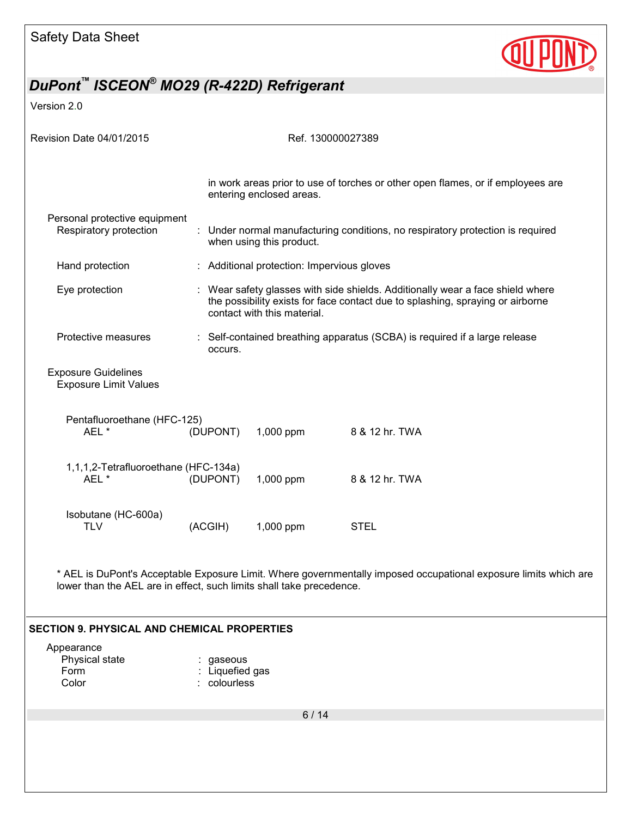

Version 2.0

| Revision Date 04/01/2015                                             |          |                             | Ref. 130000027389                                                                                                                                                |
|----------------------------------------------------------------------|----------|-----------------------------|------------------------------------------------------------------------------------------------------------------------------------------------------------------|
|                                                                      |          | entering enclosed areas.    | in work areas prior to use of torches or other open flames, or if employees are                                                                                  |
| Personal protective equipment<br>Respiratory protection              |          | when using this product.    | : Under normal manufacturing conditions, no respiratory protection is required                                                                                   |
| Hand protection                                                      |          |                             | : Additional protection: Impervious gloves                                                                                                                       |
| Eye protection                                                       |          | contact with this material. | : Wear safety glasses with side shields. Additionally wear a face shield where<br>the possibility exists for face contact due to splashing, spraying or airborne |
| Protective measures                                                  | occurs.  |                             | : Self-contained breathing apparatus (SCBA) is required if a large release                                                                                       |
| <b>Exposure Guidelines</b><br><b>Exposure Limit Values</b>           |          |                             |                                                                                                                                                                  |
| Pentafluoroethane (HFC-125)                                          |          |                             |                                                                                                                                                                  |
| AEL *                                                                | (DUPONT) | 1,000 ppm                   | 8 & 12 hr. TWA                                                                                                                                                   |
| 1,1,1,2-Tetrafluoroethane (HFC-134a)<br>AEL*                         | (DUPONT) | 1,000 ppm                   | 8 & 12 hr. TWA                                                                                                                                                   |
| Isobutane (HC-600a)<br><b>TLV</b>                                    | (ACGIH)  | 1,000 ppm                   | <b>STEL</b>                                                                                                                                                      |
| lower than the AEL are in effect, such limits shall take precedence. |          |                             | * AEL is DuPont's Acceptable Exposure Limit. Where governmentally imposed occupational exposure limits which are                                                 |
|                                                                      |          |                             |                                                                                                                                                                  |

### **SECTION 9. PHYSICAL AND CHEMICAL PROPERTIES**

| : gaseous       |
|-----------------|
| : Liquefied gas |
| : colourless    |
|                 |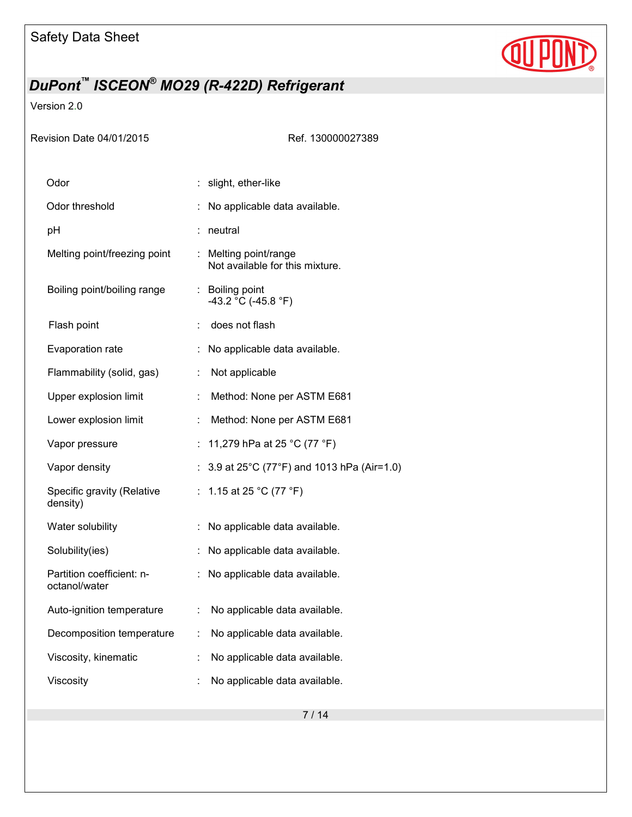

Version 2.0

| Revision Date 04/01/2015                   |    | Ref. 130000027389                                              |
|--------------------------------------------|----|----------------------------------------------------------------|
| Odor                                       |    | slight, ether-like                                             |
| Odor threshold                             |    | No applicable data available.                                  |
| pH                                         |    | : neutral                                                      |
| Melting point/freezing point               |    | : Melting point/range<br>Not available for this mixture.       |
| Boiling point/boiling range                |    | : Boiling point<br>-43.2 °C (-45.8 °F)                         |
| Flash point                                |    | does not flash                                                 |
| Evaporation rate                           |    | No applicable data available.                                  |
| Flammability (solid, gas)                  | ÷  | Not applicable                                                 |
| Upper explosion limit                      | ÷  | Method: None per ASTM E681                                     |
| Lower explosion limit                      | ÷  | Method: None per ASTM E681                                     |
| Vapor pressure                             |    | 11,279 hPa at 25 °C (77 °F)                                    |
| Vapor density                              |    | 3.9 at $25^{\circ}$ C (77 $^{\circ}$ F) and 1013 hPa (Air=1.0) |
| Specific gravity (Relative<br>density)     | ÷. | 1.15 at 25 °C (77 °F)                                          |
| Water solubility                           | ÷  | No applicable data available.                                  |
| Solubility(ies)                            |    | No applicable data available.                                  |
| Partition coefficient: n-<br>octanol/water |    | No applicable data available.                                  |
| Auto-ignition temperature                  |    | No applicable data available.                                  |
| Decomposition temperature                  |    | No applicable data available.                                  |
| Viscosity, kinematic                       |    | No applicable data available.                                  |
| Viscosity                                  |    | No applicable data available.                                  |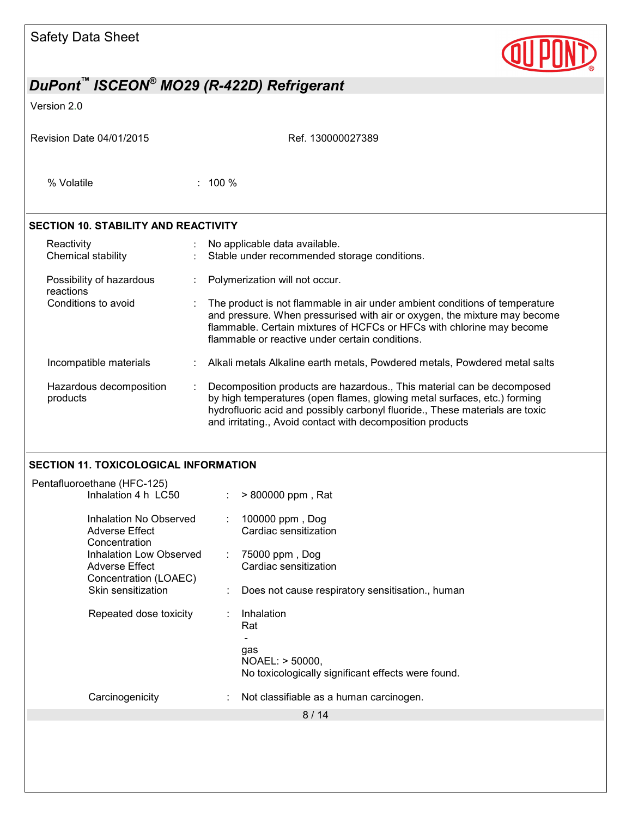| <b>Safety Data Sheet</b>                                                         |                                                                                                                                                                                                                                                                                                  |  |  |  |  |
|----------------------------------------------------------------------------------|--------------------------------------------------------------------------------------------------------------------------------------------------------------------------------------------------------------------------------------------------------------------------------------------------|--|--|--|--|
| DuPont <sup>™</sup> ISCEON <sup>®</sup> MO29 (R-422D) Refrigerant                |                                                                                                                                                                                                                                                                                                  |  |  |  |  |
| Version 2.0                                                                      |                                                                                                                                                                                                                                                                                                  |  |  |  |  |
| Revision Date 04/01/2015                                                         | Ref. 130000027389                                                                                                                                                                                                                                                                                |  |  |  |  |
| % Volatile                                                                       | $: 100 \%$                                                                                                                                                                                                                                                                                       |  |  |  |  |
| <b>SECTION 10. STABILITY AND REACTIVITY</b>                                      |                                                                                                                                                                                                                                                                                                  |  |  |  |  |
| Reactivity<br>Chemical stability                                                 | No applicable data available.<br>Stable under recommended storage conditions.                                                                                                                                                                                                                    |  |  |  |  |
| Possibility of hazardous<br>reactions                                            | Polymerization will not occur.                                                                                                                                                                                                                                                                   |  |  |  |  |
| Conditions to avoid                                                              | The product is not flammable in air under ambient conditions of temperature<br>and pressure. When pressurised with air or oxygen, the mixture may become<br>flammable. Certain mixtures of HCFCs or HFCs with chlorine may become<br>flammable or reactive under certain conditions.             |  |  |  |  |
| Incompatible materials                                                           | Alkali metals Alkaline earth metals, Powdered metals, Powdered metal salts                                                                                                                                                                                                                       |  |  |  |  |
| Hazardous decomposition<br>products                                              | Decomposition products are hazardous., This material can be decomposed<br>by high temperatures (open flames, glowing metal surfaces, etc.) forming<br>hydrofluoric acid and possibly carbonyl fluoride., These materials are toxic<br>and irritating., Avoid contact with decomposition products |  |  |  |  |
| <b>SECTION 11. TOXICOLOGICAL INFORMATION</b>                                     |                                                                                                                                                                                                                                                                                                  |  |  |  |  |
| Pentafluoroethane (HFC-125)<br>Inhalation 4 h LC50                               | > 800000 ppm, Rat                                                                                                                                                                                                                                                                                |  |  |  |  |
| Inhalation No Observed<br><b>Adverse Effect</b><br>Concentration                 | 100000 ppm, Dog<br>Cardiac sensitization                                                                                                                                                                                                                                                         |  |  |  |  |
| <b>Inhalation Low Observed</b><br><b>Adverse Effect</b><br>Concentration (LOAEC) | 75000 ppm, Dog<br>Cardiac sensitization                                                                                                                                                                                                                                                          |  |  |  |  |
| Skin sensitization                                                               | Does not cause respiratory sensitisation., human                                                                                                                                                                                                                                                 |  |  |  |  |
| Repeated dose toxicity                                                           | Inhalation<br>Rat                                                                                                                                                                                                                                                                                |  |  |  |  |
|                                                                                  | gas<br>NOAEL: > 50000,<br>No toxicologically significant effects were found.                                                                                                                                                                                                                     |  |  |  |  |
| Carcinogenicity                                                                  | Not classifiable as a human carcinogen.                                                                                                                                                                                                                                                          |  |  |  |  |
|                                                                                  | 8/14                                                                                                                                                                                                                                                                                             |  |  |  |  |
|                                                                                  |                                                                                                                                                                                                                                                                                                  |  |  |  |  |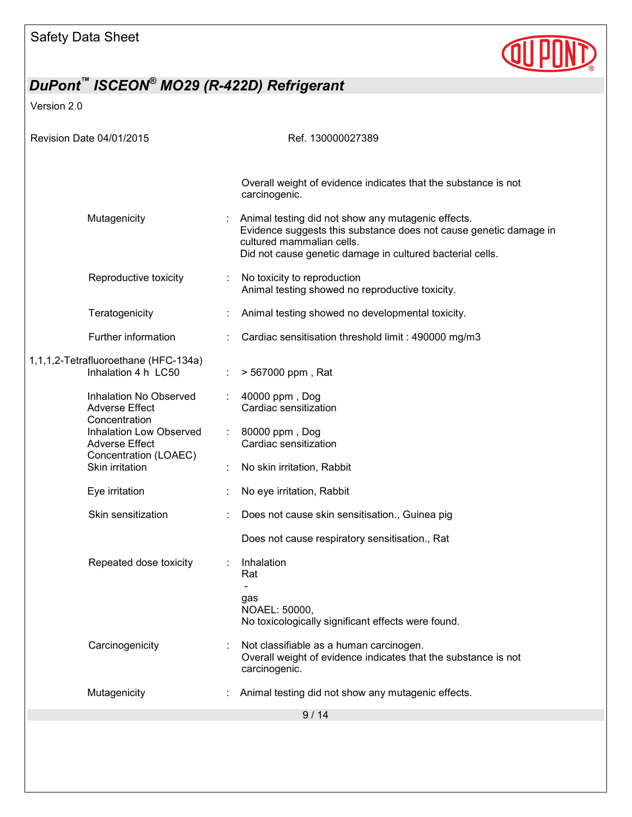

| Revision Date 04/01/2015                                    |                                                                           |                             | Ref. 130000027389                                                                                                                                                                                                 |
|-------------------------------------------------------------|---------------------------------------------------------------------------|-----------------------------|-------------------------------------------------------------------------------------------------------------------------------------------------------------------------------------------------------------------|
|                                                             |                                                                           |                             |                                                                                                                                                                                                                   |
|                                                             |                                                                           |                             | Overall weight of evidence indicates that the substance is not<br>carcinogenic.                                                                                                                                   |
|                                                             | Mutagenicity                                                              |                             | Animal testing did not show any mutagenic effects.<br>Evidence suggests this substance does not cause genetic damage in<br>cultured mammalian cells.<br>Did not cause genetic damage in cultured bacterial cells. |
|                                                             | Reproductive toxicity                                                     |                             | No toxicity to reproduction<br>Animal testing showed no reproductive toxicity.                                                                                                                                    |
|                                                             | Teratogenicity                                                            |                             | Animal testing showed no developmental toxicity.                                                                                                                                                                  |
|                                                             | Further information                                                       |                             | Cardiac sensitisation threshold limit : 490000 mg/m3                                                                                                                                                              |
| 1,1,1,2-Tetrafluoroethane (HFC-134a)<br>Inhalation 4 h LC50 |                                                                           |                             | > 567000 ppm, Rat                                                                                                                                                                                                 |
|                                                             | Inhalation No Observed<br><b>Adverse Effect</b><br>Concentration          | $\mathcal{L}^{\mathcal{L}}$ | 40000 ppm, Dog<br>Cardiac sensitization                                                                                                                                                                           |
|                                                             | Inhalation Low Observed<br><b>Adverse Effect</b><br>Concentration (LOAEC) |                             | 80000 ppm, Dog<br>Cardiac sensitization                                                                                                                                                                           |
|                                                             | Skin irritation                                                           |                             | No skin irritation, Rabbit                                                                                                                                                                                        |
|                                                             | Eye irritation                                                            |                             | No eye irritation, Rabbit                                                                                                                                                                                         |
|                                                             | Skin sensitization                                                        |                             | Does not cause skin sensitisation., Guinea pig                                                                                                                                                                    |
|                                                             |                                                                           |                             | Does not cause respiratory sensitisation., Rat                                                                                                                                                                    |
|                                                             | Repeated dose toxicity                                                    |                             | Inhalation<br>Rat                                                                                                                                                                                                 |
|                                                             |                                                                           |                             | gas<br>NOAEL: 50000,<br>No toxicologically significant effects were found.                                                                                                                                        |
|                                                             | Carcinogenicity                                                           |                             | Not classifiable as a human carcinogen.<br>Overall weight of evidence indicates that the substance is not<br>carcinogenic.                                                                                        |
|                                                             | Mutagenicity                                                              |                             | Animal testing did not show any mutagenic effects.                                                                                                                                                                |
|                                                             |                                                                           |                             | 9/14                                                                                                                                                                                                              |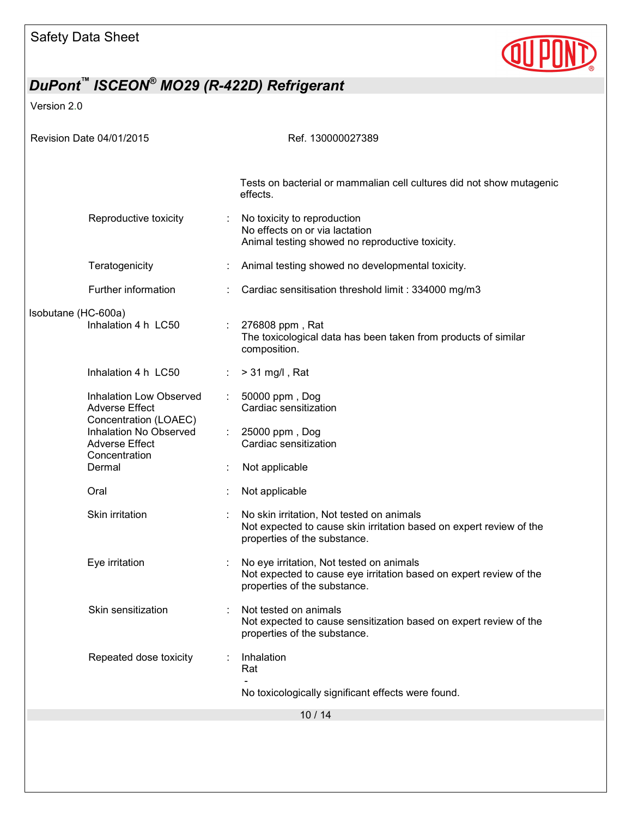

| Revision Date 04/01/2015                                                                  | Ref. 130000027389                                                                                                                                |
|-------------------------------------------------------------------------------------------|--------------------------------------------------------------------------------------------------------------------------------------------------|
|                                                                                           |                                                                                                                                                  |
|                                                                                           | Tests on bacterial or mammalian cell cultures did not show mutagenic<br>effects.                                                                 |
| Reproductive toxicity                                                                     | No toxicity to reproduction<br>No effects on or via lactation<br>Animal testing showed no reproductive toxicity.                                 |
| Teratogenicity                                                                            | Animal testing showed no developmental toxicity.                                                                                                 |
| Further information                                                                       | Cardiac sensitisation threshold limit: 334000 mg/m3                                                                                              |
| Isobutane (HC-600a)<br>Inhalation 4 h LC50                                                | 276808 ppm, Rat<br>The toxicological data has been taken from products of similar<br>composition.                                                |
| Inhalation 4 h LC50                                                                       | $> 31$ mg/l, Rat                                                                                                                                 |
| Inhalation Low Observed<br><b>Adverse Effect</b>                                          | 50000 ppm, Dog<br>Cardiac sensitization                                                                                                          |
| Concentration (LOAEC)<br>Inhalation No Observed<br><b>Adverse Effect</b><br>Concentration | 25000 ppm, Dog<br>÷<br>Cardiac sensitization                                                                                                     |
| Dermal                                                                                    | Not applicable                                                                                                                                   |
| Oral                                                                                      | Not applicable                                                                                                                                   |
| Skin irritation                                                                           | No skin irritation, Not tested on animals<br>Not expected to cause skin irritation based on expert review of the<br>properties of the substance. |
| Eye irritation                                                                            | No eye irritation, Not tested on animals<br>Not expected to cause eye irritation based on expert review of the<br>properties of the substance.   |
| Skin sensitization                                                                        | Not tested on animals<br>Not expected to cause sensitization based on expert review of the<br>properties of the substance.                       |
| Repeated dose toxicity                                                                    | Inhalation<br>Rat                                                                                                                                |
|                                                                                           | No toxicologically significant effects were found.                                                                                               |
|                                                                                           | 10/14                                                                                                                                            |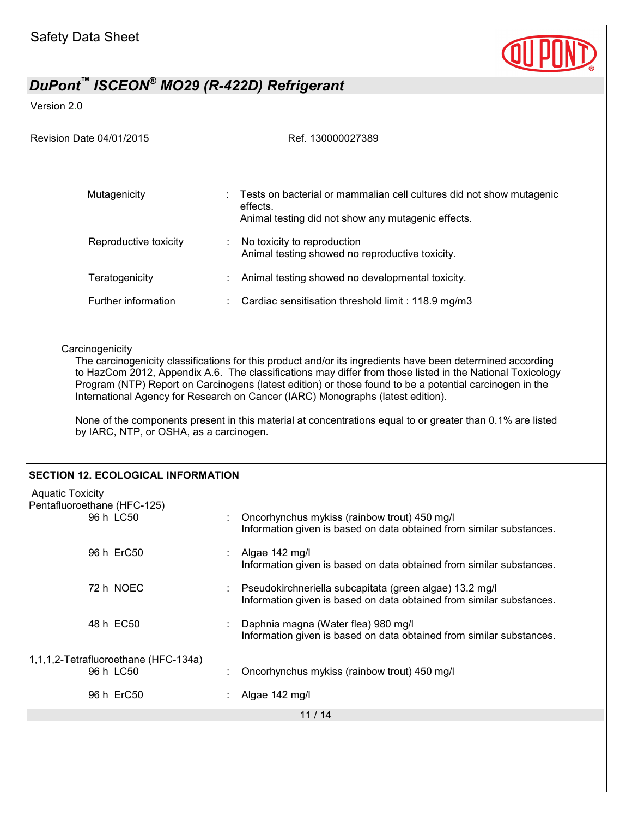

| Revision Date 04/01/2015                                                                                                                                                                                                                                                                                                                                                                                                                                                                                                                                                                          | Ref. 130000027389                                                                                                                      |  |  |  |  |
|---------------------------------------------------------------------------------------------------------------------------------------------------------------------------------------------------------------------------------------------------------------------------------------------------------------------------------------------------------------------------------------------------------------------------------------------------------------------------------------------------------------------------------------------------------------------------------------------------|----------------------------------------------------------------------------------------------------------------------------------------|--|--|--|--|
| Mutagenicity                                                                                                                                                                                                                                                                                                                                                                                                                                                                                                                                                                                      | Tests on bacterial or mammalian cell cultures did not show mutagenic<br>effects.<br>Animal testing did not show any mutagenic effects. |  |  |  |  |
| Reproductive toxicity                                                                                                                                                                                                                                                                                                                                                                                                                                                                                                                                                                             | No toxicity to reproduction<br>÷<br>Animal testing showed no reproductive toxicity.                                                    |  |  |  |  |
| Teratogenicity                                                                                                                                                                                                                                                                                                                                                                                                                                                                                                                                                                                    | Animal testing showed no developmental toxicity.                                                                                       |  |  |  |  |
| Further information                                                                                                                                                                                                                                                                                                                                                                                                                                                                                                                                                                               | Cardiac sensitisation threshold limit: 118.9 mg/m3                                                                                     |  |  |  |  |
| Carcinogenicity<br>The carcinogenicity classifications for this product and/or its ingredients have been determined according<br>to HazCom 2012, Appendix A.6. The classifications may differ from those listed in the National Toxicology<br>Program (NTP) Report on Carcinogens (latest edition) or those found to be a potential carcinogen in the<br>International Agency for Research on Cancer (IARC) Monographs (latest edition).<br>None of the components present in this material at concentrations equal to or greater than 0.1% are listed<br>by IARC, NTP, or OSHA, as a carcinogen. |                                                                                                                                        |  |  |  |  |
| <b>SECTION 12. ECOLOGICAL INFORMATION</b>                                                                                                                                                                                                                                                                                                                                                                                                                                                                                                                                                         |                                                                                                                                        |  |  |  |  |
| <b>Aquatic Toxicity</b><br>Pentafluoroethane (HFC-125)<br>96 h LC50                                                                                                                                                                                                                                                                                                                                                                                                                                                                                                                               | Oncorhynchus mykiss (rainbow trout) 450 mg/l<br>Information given is based on data obtained from similar substances.                   |  |  |  |  |
| 96 h ErC50                                                                                                                                                                                                                                                                                                                                                                                                                                                                                                                                                                                        | Algae 142 mg/l<br>Information given is based on data obtained from similar substances.                                                 |  |  |  |  |
| 72 h NOEC                                                                                                                                                                                                                                                                                                                                                                                                                                                                                                                                                                                         | Pseudokirchneriella subcapitata (green algae) 13.2 mg/l<br>Information given is based on data obtained from similar substances.        |  |  |  |  |
| 48 h EC50                                                                                                                                                                                                                                                                                                                                                                                                                                                                                                                                                                                         | Daphnia magna (Water flea) 980 mg/l<br>Information given is based on data obtained from similar substances.                            |  |  |  |  |
| 1,1,1,2-Tetrafluoroethane (HFC-134a)<br>96 h LC50                                                                                                                                                                                                                                                                                                                                                                                                                                                                                                                                                 | Oncorhynchus mykiss (rainbow trout) 450 mg/l                                                                                           |  |  |  |  |
| 96 h ErC50                                                                                                                                                                                                                                                                                                                                                                                                                                                                                                                                                                                        | Algae 142 mg/l                                                                                                                         |  |  |  |  |
|                                                                                                                                                                                                                                                                                                                                                                                                                                                                                                                                                                                                   | 11/14                                                                                                                                  |  |  |  |  |
|                                                                                                                                                                                                                                                                                                                                                                                                                                                                                                                                                                                                   |                                                                                                                                        |  |  |  |  |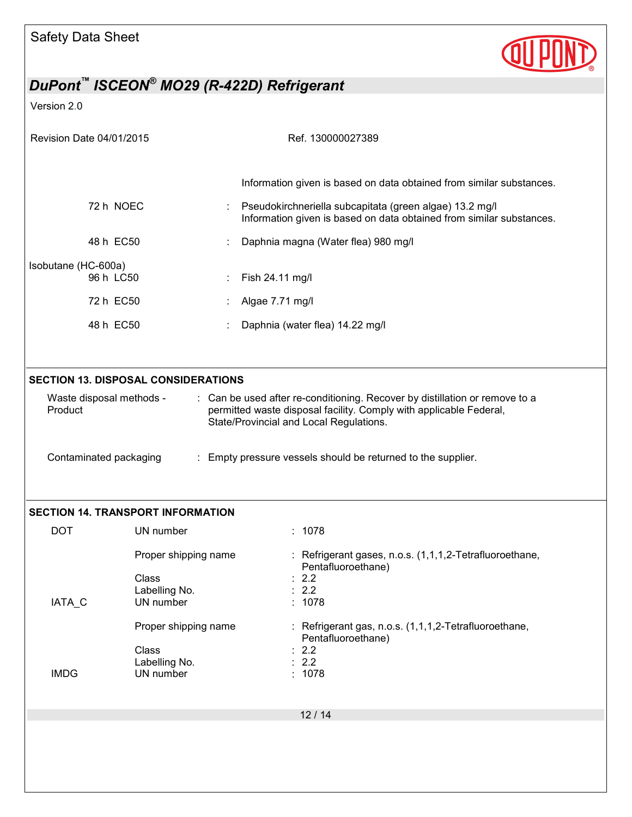

| Revision Date 04/01/2015                                                                                                                                                                                                                                                                                                      |                                                | Ref. 130000027389                                                                                                               |  |  |  |  |
|-------------------------------------------------------------------------------------------------------------------------------------------------------------------------------------------------------------------------------------------------------------------------------------------------------------------------------|------------------------------------------------|---------------------------------------------------------------------------------------------------------------------------------|--|--|--|--|
|                                                                                                                                                                                                                                                                                                                               |                                                |                                                                                                                                 |  |  |  |  |
|                                                                                                                                                                                                                                                                                                                               |                                                | Information given is based on data obtained from similar substances.                                                            |  |  |  |  |
|                                                                                                                                                                                                                                                                                                                               | 72 h NOEC                                      | Pseudokirchneriella subcapitata (green algae) 13.2 mg/l<br>Information given is based on data obtained from similar substances. |  |  |  |  |
|                                                                                                                                                                                                                                                                                                                               | 48 h EC50                                      | Daphnia magna (Water flea) 980 mg/l                                                                                             |  |  |  |  |
| Isobutane (HC-600a)                                                                                                                                                                                                                                                                                                           | 96 h LC50                                      | Fish 24.11 mg/l                                                                                                                 |  |  |  |  |
|                                                                                                                                                                                                                                                                                                                               | 72 h EC50                                      | Algae 7.71 mg/l                                                                                                                 |  |  |  |  |
|                                                                                                                                                                                                                                                                                                                               | 48 h EC50                                      | Daphnia (water flea) 14.22 mg/l                                                                                                 |  |  |  |  |
|                                                                                                                                                                                                                                                                                                                               |                                                |                                                                                                                                 |  |  |  |  |
|                                                                                                                                                                                                                                                                                                                               | <b>SECTION 13. DISPOSAL CONSIDERATIONS</b>     |                                                                                                                                 |  |  |  |  |
| : Can be used after re-conditioning. Recover by distillation or remove to a<br>Waste disposal methods -<br>permitted waste disposal facility. Comply with applicable Federal,<br>Product<br>State/Provincial and Local Regulations.<br>: Empty pressure vessels should be returned to the supplier.<br>Contaminated packaging |                                                |                                                                                                                                 |  |  |  |  |
|                                                                                                                                                                                                                                                                                                                               | <b>SECTION 14. TRANSPORT INFORMATION</b>       |                                                                                                                                 |  |  |  |  |
| <b>DOT</b>                                                                                                                                                                                                                                                                                                                    | UN number                                      | : 1078                                                                                                                          |  |  |  |  |
|                                                                                                                                                                                                                                                                                                                               | Proper shipping name<br>Class<br>Labelling No. | : Refrigerant gases, n.o.s. (1,1,1,2-Tetrafluoroethane,<br>Pentafluoroethane)<br>2.2<br>2.2                                     |  |  |  |  |
| IATA_C                                                                                                                                                                                                                                                                                                                        | UN number                                      | : 1078                                                                                                                          |  |  |  |  |
|                                                                                                                                                                                                                                                                                                                               | Proper shipping name                           | : Refrigerant gas, n.o.s. (1,1,1,2-Tetrafluoroethane,<br>Pentafluoroethane)                                                     |  |  |  |  |
| <b>IMDG</b>                                                                                                                                                                                                                                                                                                                   | Class<br>Labelling No.<br>UN number            | 2.2<br>2.2<br>: 1078                                                                                                            |  |  |  |  |
|                                                                                                                                                                                                                                                                                                                               |                                                | 12/14                                                                                                                           |  |  |  |  |
|                                                                                                                                                                                                                                                                                                                               |                                                |                                                                                                                                 |  |  |  |  |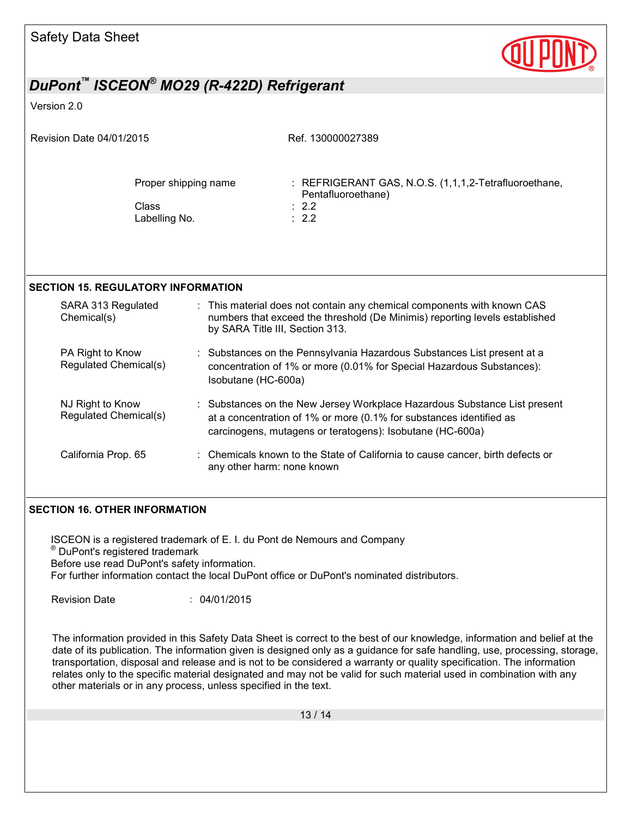

#### Version 2.0

| Revision Date 04/01/2015 |                                                |  | Ref. 130000027389                                                                                                                                                                                             |
|--------------------------|------------------------------------------------|--|---------------------------------------------------------------------------------------------------------------------------------------------------------------------------------------------------------------|
|                          | Proper shipping name<br>Class<br>Labelling No. |  | : REFRIGERANT GAS, N.O.S. (1,1,1,2-Tetrafluoroethane,<br>Pentafluoroethane)<br>$\therefore$ 2.2<br>$\therefore$ 2.2                                                                                           |
|                          | SECTION 15. REGULATORY INFORMATION             |  |                                                                                                                                                                                                               |
|                          | SARA 313 Regulated<br>Chemical(s)              |  | : This material does not contain any chemical components with known CAS<br>numbers that exceed the threshold (De Minimis) reporting levels established<br>by SARA Title III, Section 313.                     |
|                          | PA Right to Know<br>Regulated Chemical(s)      |  | : Substances on the Pennsylvania Hazardous Substances List present at a<br>concentration of 1% or more (0.01% for Special Hazardous Substances):<br>Isobutane (HC-600a)                                       |
|                          | NJ Right to Know<br>Regulated Chemical(s)      |  | : Substances on the New Jersey Workplace Hazardous Substance List present<br>at a concentration of 1% or more (0.1% for substances identified as<br>carcinogens, mutagens or teratogens): Isobutane (HC-600a) |
|                          | California Prop. 65                            |  | Chemicals known to the State of California to cause cancer, birth defects or<br>any other harm: none known                                                                                                    |

### **SECTION 16. OTHER INFORMATION**

ISCEON is a registered trademark of E. I. du Pont de Nemours and Company ® DuPont's registered trademark Before use read DuPont's safety information. For further information contact the local DuPont office or DuPont's nominated distributors. Revision Date : 04/01/2015

The information provided in this Safety Data Sheet is correct to the best of our knowledge, information and belief at the date of its publication. The information given is designed only as a guidance for safe handling, use, processing, storage, transportation, disposal and release and is not to be considered a warranty or quality specification. The information relates only to the specific material designated and may not be valid for such material used in combination with any other materials or in any process, unless specified in the text.